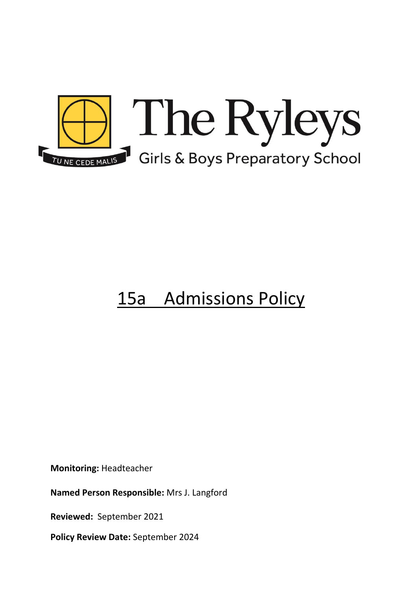

# 15a Admissions Policy

**Monitoring:** Headteacher

**Named Person Responsible:** Mrs J. Langford

**Reviewed:** September 2021

**Policy Review Date:** September 2024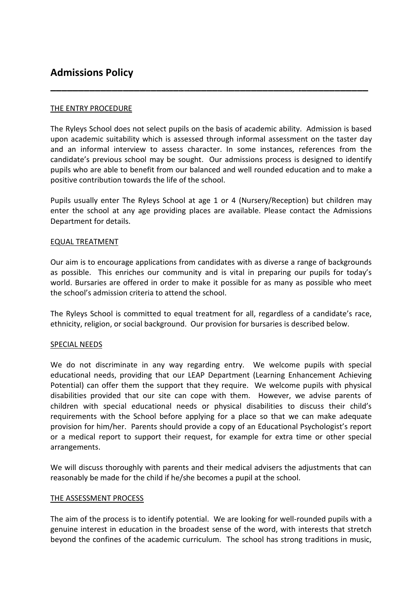# **Admissions Policy**

# THE ENTRY PROCEDURE

The Ryleys School does not select pupils on the basis of academic ability. Admission is based upon academic suitability which is assessed through informal assessment on the taster day and an informal interview to assess character. In some instances, references from the candidate's previous school may be sought. Our admissions process is designed to identify pupils who are able to benefit from our balanced and well rounded education and to make a positive contribution towards the life of the school.

**\_\_\_\_\_\_\_\_\_\_\_\_\_\_\_\_\_\_\_\_\_\_\_\_\_\_\_\_\_\_\_\_\_\_\_\_\_\_\_\_\_\_\_\_\_\_\_\_\_\_\_\_\_\_\_\_\_**

Pupils usually enter The Ryleys School at age 1 or 4 (Nursery/Reception) but children may enter the school at any age providing places are available. Please contact the Admissions Department for details.

# EQUAL TREATMENT

Our aim is to encourage applications from candidates with as diverse a range of backgrounds as possible. This enriches our community and is vital in preparing our pupils for today's world. Bursaries are offered in order to make it possible for as many as possible who meet the school's admission criteria to attend the school.

The Ryleys School is committed to equal treatment for all, regardless of a candidate's race, ethnicity, religion, or social background. Our provision for bursaries is described below.

# SPECIAL NEEDS

We do not discriminate in any way regarding entry. We welcome pupils with special educational needs, providing that our LEAP Department (Learning Enhancement Achieving Potential) can offer them the support that they require. We welcome pupils with physical disabilities provided that our site can cope with them. However, we advise parents of children with special educational needs or physical disabilities to discuss their child's requirements with the School before applying for a place so that we can make adequate provision for him/her. Parents should provide a copy of an Educational Psychologist's report or a medical report to support their request, for example for extra time or other special arrangements.

We will discuss thoroughly with parents and their medical advisers the adjustments that can reasonably be made for the child if he/she becomes a pupil at the school.

# THE ASSESSMENT PROCESS

The aim of the process is to identify potential. We are looking for well-rounded pupils with a genuine interest in education in the broadest sense of the word, with interests that stretch beyond the confines of the academic curriculum. The school has strong traditions in music,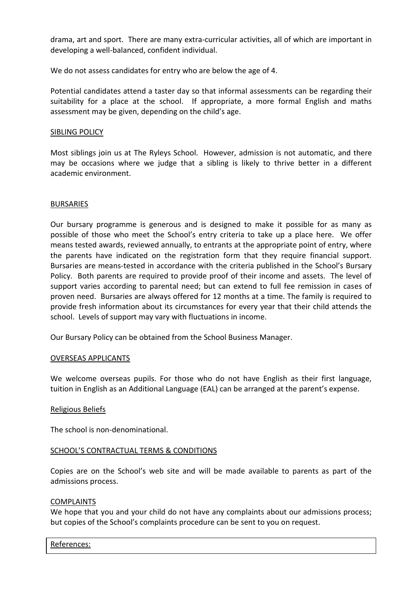drama, art and sport. There are many extra-curricular activities, all of which are important in developing a well-balanced, confident individual.

We do not assess candidates for entry who are below the age of 4.

Potential candidates attend a taster day so that informal assessments can be regarding their suitability for a place at the school. If appropriate, a more formal English and maths assessment may be given, depending on the child's age.

### SIBLING POLICY

Most siblings join us at The Ryleys School. However, admission is not automatic, and there may be occasions where we judge that a sibling is likely to thrive better in a different academic environment.

#### BURSARIES

Our bursary programme is generous and is designed to make it possible for as many as possible of those who meet the School's entry criteria to take up a place here. We offer means tested awards, reviewed annually, to entrants at the appropriate point of entry, where the parents have indicated on the registration form that they require financial support. Bursaries are means-tested in accordance with the criteria published in the School's Bursary Policy. Both parents are required to provide proof of their income and assets. The level of support varies according to parental need; but can extend to full fee remission in cases of proven need. Bursaries are always offered for 12 months at a time. The family is required to provide fresh information about its circumstances for every year that their child attends the school. Levels of support may vary with fluctuations in income.

Our Bursary Policy can be obtained from the School Business Manager.

#### OVERSEAS APPLICANTS

We welcome overseas pupils. For those who do not have English as their first language, tuition in English as an Additional Language (EAL) can be arranged at the parent's expense.

# Religious Beliefs

The school is non-denominational.

# SCHOOL'S CONTRACTUAL TERMS & CONDITIONS

Copies are on the School's web site and will be made available to parents as part of the admissions process.

#### COMPLAINTS

We hope that you and your child do not have any complaints about our admissions process; but copies of the School's complaints procedure can be sent to you on request.

#### References: